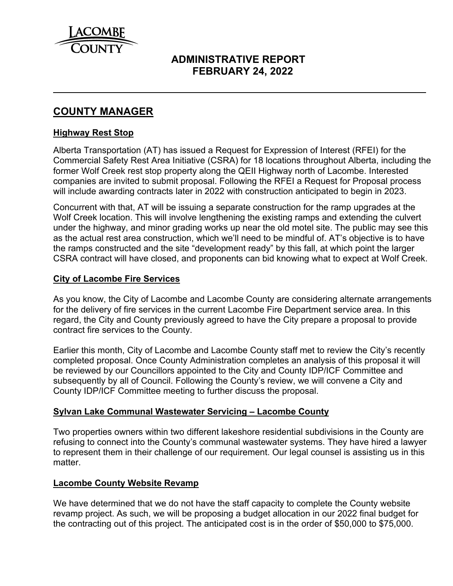

# **ADMINISTRATIVE REPORT FEBRUARY 24, 2022**

# **COUNTY MANAGER**

#### **Highway Rest Stop**

 $\overline{a}$ 

Alberta Transportation (AT) has issued a Request for Expression of Interest (RFEI) for the Commercial Safety Rest Area Initiative (CSRA) for 18 locations throughout Alberta, including the former Wolf Creek rest stop property along the QEII Highway north of Lacombe. Interested companies are invited to submit proposal. Following the RFEI a Request for Proposal process will include awarding contracts later in 2022 with construction anticipated to begin in 2023.

Concurrent with that, AT will be issuing a separate construction for the ramp upgrades at the Wolf Creek location. This will involve lengthening the existing ramps and extending the culvert under the highway, and minor grading works up near the old motel site. The public may see this as the actual rest area construction, which we'll need to be mindful of. AT's objective is to have the ramps constructed and the site "development ready" by this fall, at which point the larger CSRA contract will have closed, and proponents can bid knowing what to expect at Wolf Creek.

#### **City of Lacombe Fire Services**

As you know, the City of Lacombe and Lacombe County are considering alternate arrangements for the delivery of fire services in the current Lacombe Fire Department service area. In this regard, the City and County previously agreed to have the City prepare a proposal to provide contract fire services to the County.

Earlier this month, City of Lacombe and Lacombe County staff met to review the City's recently completed proposal. Once County Administration completes an analysis of this proposal it will be reviewed by our Councillors appointed to the City and County IDP/ICF Committee and subsequently by all of Council. Following the County's review, we will convene a City and County IDP/ICF Committee meeting to further discuss the proposal.

#### **Sylvan Lake Communal Wastewater Servicing – Lacombe County**

Two properties owners within two different lakeshore residential subdivisions in the County are refusing to connect into the County's communal wastewater systems. They have hired a lawyer to represent them in their challenge of our requirement. Our legal counsel is assisting us in this matter.

#### **Lacombe County Website Revamp**

We have determined that we do not have the staff capacity to complete the County website revamp project. As such, we will be proposing a budget allocation in our 2022 final budget for the contracting out of this project. The anticipated cost is in the order of \$50,000 to \$75,000.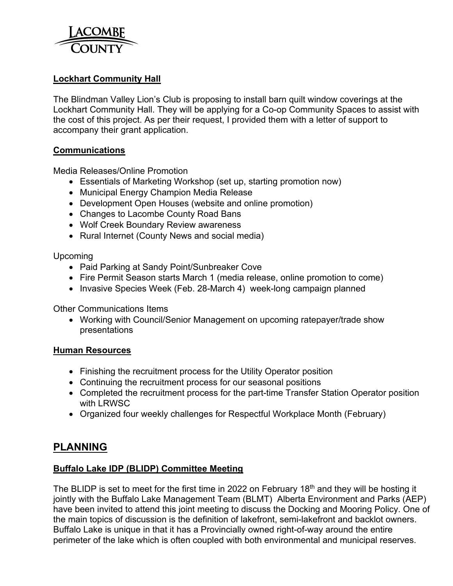

# **Lockhart Community Hall**

The Blindman Valley Lion's Club is proposing to install barn quilt window coverings at the Lockhart Community Hall. They will be applying for a Co-op Community Spaces to assist with the cost of this project. As per their request, I provided them with a letter of support to accompany their grant application.

#### **Communications**

Media Releases/Online Promotion

- Essentials of Marketing Workshop (set up, starting promotion now)
- Municipal Energy Champion Media Release
- Development Open Houses (website and online promotion)
- Changes to Lacombe County Road Bans
- Wolf Creek Boundary Review awareness
- Rural Internet (County News and social media)

Upcoming

- Paid Parking at Sandy Point/Sunbreaker Cove
- Fire Permit Season starts March 1 (media release, online promotion to come)
- Invasive Species Week (Feb. 28-March 4) week-long campaign planned

Other Communications Items

 Working with Council/Senior Management on upcoming ratepayer/trade show presentations

#### **Human Resources**

- Finishing the recruitment process for the Utility Operator position
- Continuing the recruitment process for our seasonal positions
- Completed the recruitment process for the part-time Transfer Station Operator position with LRWSC
- Organized four weekly challenges for Respectful Workplace Month (February)

# **PLANNING**

#### **Buffalo Lake IDP (BLIDP) Committee Meeting**

The BLIDP is set to meet for the first time in 2022 on February 18<sup>th</sup> and they will be hosting it jointly with the Buffalo Lake Management Team (BLMT) Alberta Environment and Parks (AEP) have been invited to attend this joint meeting to discuss the Docking and Mooring Policy. One of the main topics of discussion is the definition of lakefront, semi-lakefront and backlot owners. Buffalo Lake is unique in that it has a Provincially owned right-of-way around the entire perimeter of the lake which is often coupled with both environmental and municipal reserves.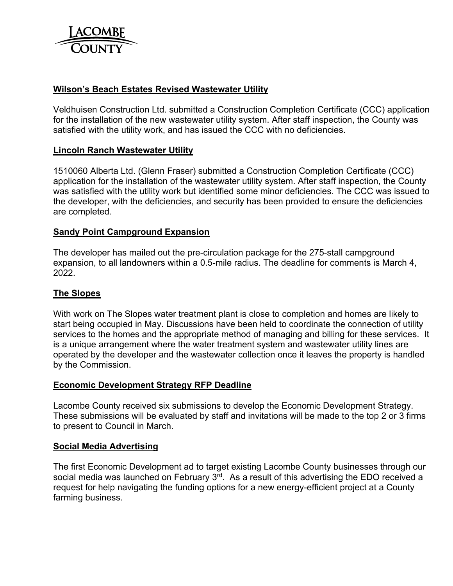

### **Wilson's Beach Estates Revised Wastewater Utility**

Veldhuisen Construction Ltd. submitted a Construction Completion Certificate (CCC) application for the installation of the new wastewater utility system. After staff inspection, the County was satisfied with the utility work, and has issued the CCC with no deficiencies.

#### **Lincoln Ranch Wastewater Utility**

1510060 Alberta Ltd. (Glenn Fraser) submitted a Construction Completion Certificate (CCC) application for the installation of the wastewater utility system. After staff inspection, the County was satisfied with the utility work but identified some minor deficiencies. The CCC was issued to the developer, with the deficiencies, and security has been provided to ensure the deficiencies are completed.

#### **Sandy Point Campground Expansion**

The developer has mailed out the pre-circulation package for the 275-stall campground expansion, to all landowners within a 0.5-mile radius. The deadline for comments is March 4, 2022.

#### **The Slopes**

With work on The Slopes water treatment plant is close to completion and homes are likely to start being occupied in May. Discussions have been held to coordinate the connection of utility services to the homes and the appropriate method of managing and billing for these services. It is a unique arrangement where the water treatment system and wastewater utility lines are operated by the developer and the wastewater collection once it leaves the property is handled by the Commission.

#### **Economic Development Strategy RFP Deadline**

Lacombe County received six submissions to develop the Economic Development Strategy. These submissions will be evaluated by staff and invitations will be made to the top 2 or 3 firms to present to Council in March.

#### **Social Media Advertising**

The first Economic Development ad to target existing Lacombe County businesses through our social media was launched on February 3<sup>rd</sup>. As a result of this advertising the EDO received a request for help navigating the funding options for a new energy-efficient project at a County farming business.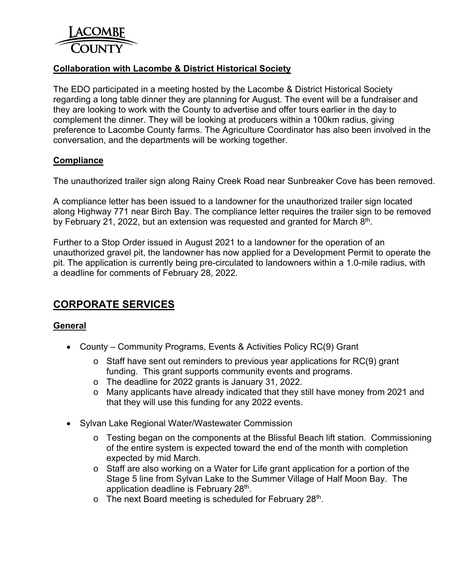

# **Collaboration with Lacombe & District Historical Society**

The EDO participated in a meeting hosted by the Lacombe & District Historical Society regarding a long table dinner they are planning for August. The event will be a fundraiser and they are looking to work with the County to advertise and offer tours earlier in the day to complement the dinner. They will be looking at producers within a 100km radius, giving preference to Lacombe County farms. The Agriculture Coordinator has also been involved in the conversation, and the departments will be working together.

#### **Compliance**

The unauthorized trailer sign along Rainy Creek Road near Sunbreaker Cove has been removed.

A compliance letter has been issued to a landowner for the unauthorized trailer sign located along Highway 771 near Birch Bay. The compliance letter requires the trailer sign to be removed by February 21, 2022, but an extension was requested and granted for March  $8<sup>th</sup>$ .

Further to a Stop Order issued in August 2021 to a landowner for the operation of an unauthorized gravel pit, the landowner has now applied for a Development Permit to operate the pit. The application is currently being pre-circulated to landowners within a 1.0-mile radius, with a deadline for comments of February 28, 2022.

# **CORPORATE SERVICES**

#### **General**

- County Community Programs, Events & Activities Policy RC(9) Grant
	- o Staff have sent out reminders to previous year applications for RC(9) grant funding. This grant supports community events and programs.
	- o The deadline for 2022 grants is January 31, 2022.
	- o Many applicants have already indicated that they still have money from 2021 and that they will use this funding for any 2022 events.
- Sylvan Lake Regional Water/Wastewater Commission
	- $\circ$  Testing began on the components at the Blissful Beach lift station. Commissioning of the entire system is expected toward the end of the month with completion expected by mid March.
	- o Staff are also working on a Water for Life grant application for a portion of the Stage 5 line from Sylvan Lake to the Summer Village of Half Moon Bay. The application deadline is February 28<sup>th</sup>.
	- $\circ$  The next Board meeting is scheduled for February 28<sup>th</sup>.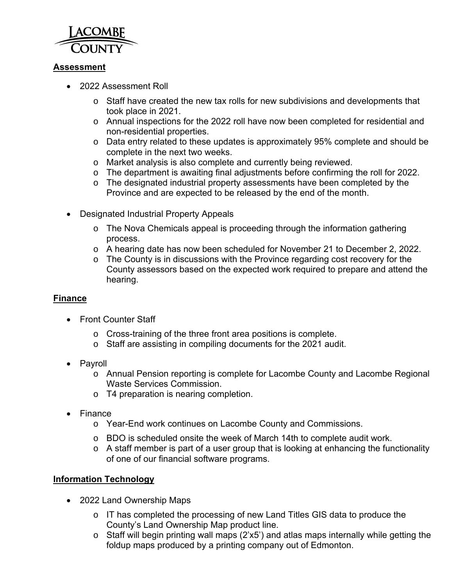

# **Assessment**

- 2022 Assessment Roll
	- $\circ$  Staff have created the new tax rolls for new subdivisions and developments that took place in 2021.
	- o Annual inspections for the 2022 roll have now been completed for residential and non-residential properties.
	- o Data entry related to these updates is approximately 95% complete and should be complete in the next two weeks.
	- o Market analysis is also complete and currently being reviewed.
	- o The department is awaiting final adjustments before confirming the roll for 2022.
	- o The designated industrial property assessments have been completed by the Province and are expected to be released by the end of the month.
- Designated Industrial Property Appeals
	- o The Nova Chemicals appeal is proceeding through the information gathering process.
	- o A hearing date has now been scheduled for November 21 to December 2, 2022.
	- o The County is in discussions with the Province regarding cost recovery for the County assessors based on the expected work required to prepare and attend the hearing.

# **Finance**

- Front Counter Staff
	- o Cross-training of the three front area positions is complete.
	- o Staff are assisting in compiling documents for the 2021 audit.
- Payroll
	- o Annual Pension reporting is complete for Lacombe County and Lacombe Regional Waste Services Commission.
	- o T4 preparation is nearing completion.
- Finance
	- o Year-End work continues on Lacombe County and Commissions.
	- o BDO is scheduled onsite the week of March 14th to complete audit work.
	- o A staff member is part of a user group that is looking at enhancing the functionality of one of our financial software programs.

# **Information Technology**

- 2022 Land Ownership Maps
	- o IT has completed the processing of new Land Titles GIS data to produce the County's Land Ownership Map product line.
	- o Staff will begin printing wall maps (2'x5') and atlas maps internally while getting the foldup maps produced by a printing company out of Edmonton.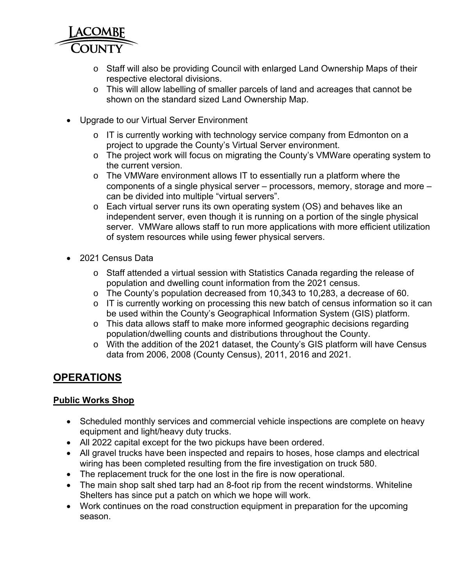

- o Staff will also be providing Council with enlarged Land Ownership Maps of their respective electoral divisions.
- o This will allow labelling of smaller parcels of land and acreages that cannot be shown on the standard sized Land Ownership Map.
- Upgrade to our Virtual Server Environment
	- o IT is currently working with technology service company from Edmonton on a project to upgrade the County's Virtual Server environment.
	- o The project work will focus on migrating the County's VMWare operating system to the current version.
	- o The VMWare environment allows IT to essentially run a platform where the components of a single physical server – processors, memory, storage and more – can be divided into multiple "virtual servers".
	- o Each virtual server runs its own operating system (OS) and behaves like an independent server, even though it is running on a portion of the single physical server. VMWare allows staff to run more applications with more efficient utilization of system resources while using fewer physical servers.
- 2021 Census Data
	- o Staff attended a virtual session with Statistics Canada regarding the release of population and dwelling count information from the 2021 census.
	- o The County's population decreased from 10,343 to 10,283, a decrease of 60.
	- o IT is currently working on processing this new batch of census information so it can be used within the County's Geographical Information System (GIS) platform.
	- o This data allows staff to make more informed geographic decisions regarding population/dwelling counts and distributions throughout the County.
	- o With the addition of the 2021 dataset, the County's GIS platform will have Census data from 2006, 2008 (County Census), 2011, 2016 and 2021.

# **OPERATIONS**

# **Public Works Shop**

- Scheduled monthly services and commercial vehicle inspections are complete on heavy equipment and light/heavy duty trucks.
- All 2022 capital except for the two pickups have been ordered.
- All gravel trucks have been inspected and repairs to hoses, hose clamps and electrical wiring has been completed resulting from the fire investigation on truck 580.
- The replacement truck for the one lost in the fire is now operational.
- The main shop salt shed tarp had an 8-foot rip from the recent windstorms. Whiteline Shelters has since put a patch on which we hope will work.
- Work continues on the road construction equipment in preparation for the upcoming season.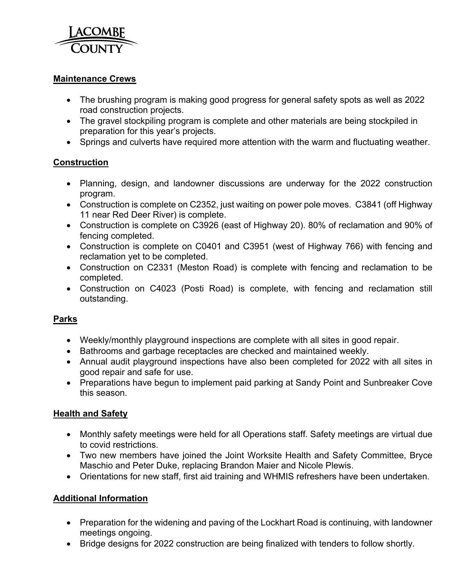

### **Maintenance Crews**

- The brushing program is making good progress for general safety spots as well as 2022 road construction projects.
- The gravel stockpiling program is complete and other materials are being stockpiled in preparation for this year's projects.
- Springs and culverts have required more attention with the warm and fluctuating weather.

# **Construction**

- Planning, design, and landowner discussions are underway for the 2022 construction program.
- Construction is complete on C2352, just waiting on power pole moves. C3841 (off Highway 11 near Red Deer River) is complete.
- Construction is complete on C3926 (east of Highway 20). 80% of reclamation and 90% of fencing completed.
- Construction is complete on C0401 and C3951 (west of Highway 766) with fencing and reclamation yet to be completed.
- Construction on C2331 (Meston Road) is complete with fencing and reclamation to be completed.
- Construction on C4023 (Posti Road) is complete, with fencing and reclamation still outstanding.

# **Parks**

- Weekly/monthly playground inspections are complete with all sites in good repair.
- Bathrooms and garbage receptacles are checked and maintained weekly.
- Annual audit playground inspections have also been completed for 2022 with all sites in good repair and safe for use.
- Preparations have begun to implement paid parking at Sandy Point and Sunbreaker Cove this season.

# **Health and Safety**

- Monthly safety meetings were held for all Operations staff. Safety meetings are virtual due to covid restrictions.
- Two new members have joined the Joint Worksite Health and Safety Committee, Bryce Maschio and Peter Duke, replacing Brandon Maier and Nicole Plewis.
- Orientations for new staff, first aid training and WHMIS refreshers have been undertaken.

# **Additional Information**

- Preparation for the widening and paving of the Lockhart Road is continuing, with landowner meetings ongoing.
- Bridge designs for 2022 construction are being finalized with tenders to follow shortly.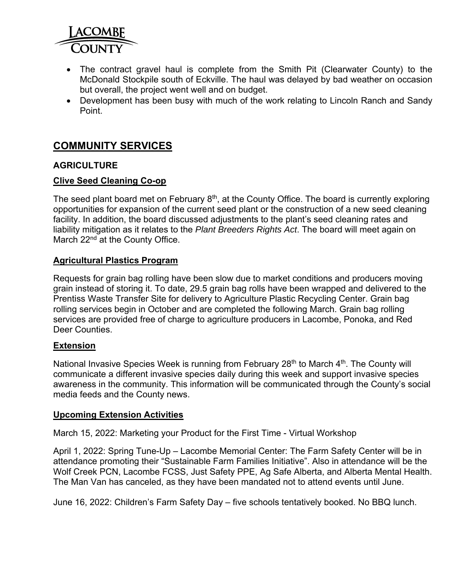

- The contract gravel haul is complete from the Smith Pit (Clearwater County) to the McDonald Stockpile south of Eckville. The haul was delayed by bad weather on occasion but overall, the project went well and on budget.
- Development has been busy with much of the work relating to Lincoln Ranch and Sandy Point.

# **COMMUNITY SERVICES**

### **AGRICULTURE**

#### **Clive Seed Cleaning Co-op**

The seed plant board met on February  $8<sup>th</sup>$ , at the County Office. The board is currently exploring opportunities for expansion of the current seed plant or the construction of a new seed cleaning facility. In addition, the board discussed adjustments to the plant's seed cleaning rates and liability mitigation as it relates to the *Plant Breeders Rights Act*. The board will meet again on March 22<sup>nd</sup> at the County Office.

#### **Agricultural Plastics Program**

Requests for grain bag rolling have been slow due to market conditions and producers moving grain instead of storing it. To date, 29.5 grain bag rolls have been wrapped and delivered to the Prentiss Waste Transfer Site for delivery to Agriculture Plastic Recycling Center. Grain bag rolling services begin in October and are completed the following March. Grain bag rolling services are provided free of charge to agriculture producers in Lacombe, Ponoka, and Red Deer Counties.

#### **Extension**

National Invasive Species Week is running from February 28<sup>th</sup> to March  $4<sup>th</sup>$ . The County will communicate a different invasive species daily during this week and support invasive species awareness in the community. This information will be communicated through the County's social media feeds and the County news.

#### **Upcoming Extension Activities**

March 15, 2022: Marketing your Product for the First Time - Virtual Workshop

April 1, 2022: Spring Tune-Up – Lacombe Memorial Center: The Farm Safety Center will be in attendance promoting their "Sustainable Farm Families Initiative". Also in attendance will be the Wolf Creek PCN, Lacombe FCSS, Just Safety PPE, Ag Safe Alberta, and Alberta Mental Health. The Man Van has canceled, as they have been mandated not to attend events until June.

June 16, 2022: Children's Farm Safety Day – five schools tentatively booked. No BBQ lunch.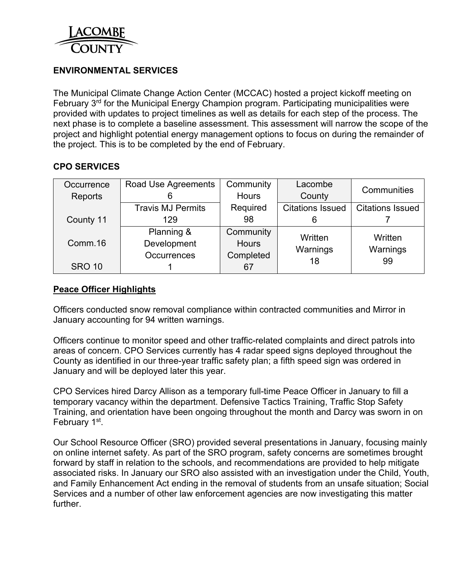

# **ENVIRONMENTAL SERVICES**

The Municipal Climate Change Action Center (MCCAC) hosted a project kickoff meeting on February 3<sup>rd</sup> for the Municipal Energy Champion program. Participating municipalities were provided with updates to project timelines as well as details for each step of the process. The next phase is to complete a baseline assessment. This assessment will narrow the scope of the project and highlight potential energy management options to focus on during the remainder of the project. This is to be completed by the end of February.

# **CPO SERVICES**

| Occurrence    | Road Use Agreements      | Community<br>Lacombe |                         | Communities             |  |  |
|---------------|--------------------------|----------------------|-------------------------|-------------------------|--|--|
| Reports       |                          | <b>Hours</b>         | County                  |                         |  |  |
|               | <b>Travis MJ Permits</b> | Required             | <b>Citations Issued</b> | <b>Citations Issued</b> |  |  |
| County 11     | 129                      | 98                   |                         |                         |  |  |
|               | Planning &               | Community            | Written                 | Written                 |  |  |
| Comm.16       | Development              | <b>Hours</b>         | Warnings                | Warnings<br>99          |  |  |
|               | Occurrences              | Completed            | 18                      |                         |  |  |
| <b>SRO 10</b> |                          | 67                   |                         |                         |  |  |

# **Peace Officer Highlights**

Officers conducted snow removal compliance within contracted communities and Mirror in January accounting for 94 written warnings.

Officers continue to monitor speed and other traffic-related complaints and direct patrols into areas of concern. CPO Services currently has 4 radar speed signs deployed throughout the County as identified in our three-year traffic safety plan; a fifth speed sign was ordered in January and will be deployed later this year.

CPO Services hired Darcy Allison as a temporary full-time Peace Officer in January to fill a temporary vacancy within the department. Defensive Tactics Training, Traffic Stop Safety Training, and orientation have been ongoing throughout the month and Darcy was sworn in on February 1<sup>st</sup>.

Our School Resource Officer (SRO) provided several presentations in January, focusing mainly on online internet safety. As part of the SRO program, safety concerns are sometimes brought forward by staff in relation to the schools, and recommendations are provided to help mitigate associated risks. In January our SRO also assisted with an investigation under the Child, Youth, and Family Enhancement Act ending in the removal of students from an unsafe situation; Social Services and a number of other law enforcement agencies are now investigating this matter further.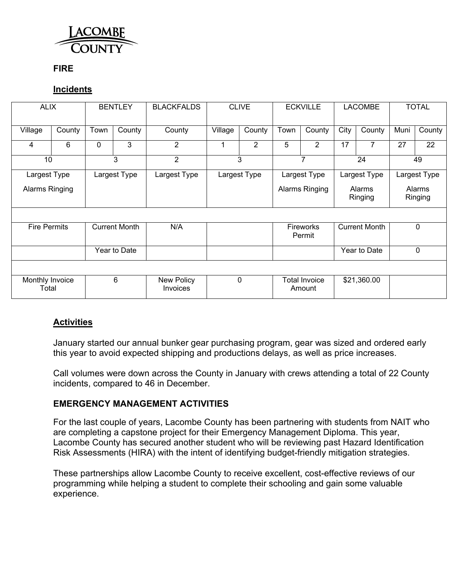

### **FIRE**

### **Incidents**

| <b>ALIX</b>              |        | <b>BENTLEY</b> |                      | <b>BLACKFALDS</b>      | <b>CLIVE</b> |                | <b>ECKVILLE</b>                             |                                | <b>LACOMBE</b>           |             | <b>TOTAL</b>      |        |
|--------------------------|--------|----------------|----------------------|------------------------|--------------|----------------|---------------------------------------------|--------------------------------|--------------------------|-------------|-------------------|--------|
| Village                  | County | Town           | County               | County                 | Village      | County         | Town                                        | County                         | City                     | County      | Muni              | County |
| 4                        | 6      | 0              | 3                    | $\overline{2}$         | 1            | $\overline{2}$ | 5                                           | $\overline{2}$                 | 17                       | 7           | 27                | 22     |
| 10<br>3                  |        |                | $\overline{2}$       | 3                      |              | $\overline{7}$ |                                             | 24                             |                          | 49          |                   |        |
| Largest Type             |        |                | Largest Type         | Largest Type           |              | Largest Type   |                                             | Largest Type                   | Largest Type             |             | Largest Type      |        |
| Alarms Ringing           |        |                |                      |                        |              |                | Alarms Ringing                              |                                | <b>Alarms</b><br>Ringing |             | Alarms<br>Ringing |        |
|                          |        |                |                      |                        |              |                |                                             |                                |                          |             |                   |        |
| <b>Fire Permits</b>      |        |                | <b>Current Month</b> | N/A                    |              |                | <b>Current Month</b><br>Fireworks<br>Permit |                                |                          | $\mathbf 0$ |                   |        |
| Year to Date             |        |                |                      |                        |              |                |                                             | Year to Date                   | $\mathbf 0$              |             |                   |        |
|                          |        |                |                      |                        |              |                |                                             |                                |                          |             |                   |        |
| Monthly Invoice<br>Total |        |                | 6                    | New Policy<br>Invoices |              | $\mathbf 0$    |                                             | <b>Total Invoice</b><br>Amount |                          | \$21,360.00 |                   |        |

# **Activities**

January started our annual bunker gear purchasing program, gear was sized and ordered early this year to avoid expected shipping and productions delays, as well as price increases.

Call volumes were down across the County in January with crews attending a total of 22 County incidents, compared to 46 in December.

#### **EMERGENCY MANAGEMENT ACTIVITIES**

For the last couple of years, Lacombe County has been partnering with students from NAIT who are completing a capstone project for their Emergency Management Diploma. This year, Lacombe County has secured another student who will be reviewing past Hazard Identification Risk Assessments (HIRA) with the intent of identifying budget-friendly mitigation strategies.

These partnerships allow Lacombe County to receive excellent, cost-effective reviews of our programming while helping a student to complete their schooling and gain some valuable experience.